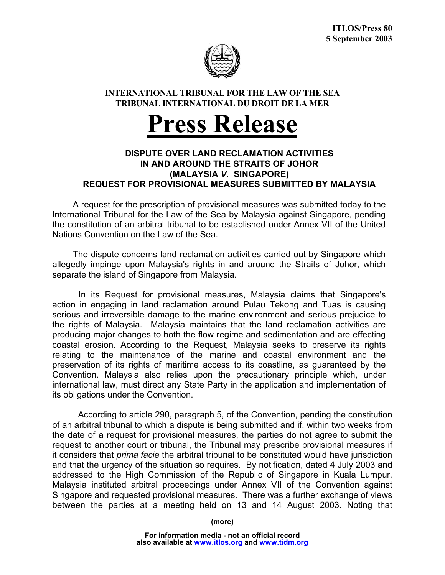

## **INTERNATIONAL TRIBUNAL FOR THE LAW OF THE SEA TRIBUNAL INTERNATIONAL DU DROIT DE LA MER**

## **Press Release**

## **DISPUTE OVER LAND RECLAMATION ACTIVITIES IN AND AROUND THE STRAITS OF JOHOR (MALAYSIA** *V.* **SINGAPORE) REQUEST FOR PROVISIONAL MEASURES SUBMITTED BY MALAYSIA**

A request for the prescription of provisional measures was submitted today to the International Tribunal for the Law of the Sea by Malaysia against Singapore, pending the constitution of an arbitral tribunal to be established under Annex VII of the United Nations Convention on the Law of the Sea.

The dispute concerns land reclamation activities carried out by Singapore which allegedly impinge upon Malaysia's rights in and around the Straits of Johor, which separate the island of Singapore from Malaysia.

In its Request for provisional measures, Malaysia claims that Singapore's action in engaging in land reclamation around Pulau Tekong and Tuas is causing serious and irreversible damage to the marine environment and serious prejudice to the rights of Malaysia. Malaysia maintains that the land reclamation activities are producing major changes to both the flow regime and sedimentation and are effecting coastal erosion. According to the Request, Malaysia seeks to preserve its rights relating to the maintenance of the marine and coastal environment and the preservation of its rights of maritime access to its coastline, as guaranteed by the Convention. Malaysia also relies upon the precautionary principle which, under international law, must direct any State Party in the application and implementation of its obligations under the Convention.

According to article 290, paragraph 5, of the Convention, pending the constitution of an arbitral tribunal to which a dispute is being submitted and if, within two weeks from the date of a request for provisional measures, the parties do not agree to submit the request to another court or tribunal, the Tribunal may prescribe provisional measures if it considers that *prima facie* the arbitral tribunal to be constituted would have jurisdiction and that the urgency of the situation so requires. By notification, dated 4 July 2003 and addressed to the High Commission of the Republic of Singapore in Kuala Lumpur, Malaysia instituted arbitral proceedings under Annex VII of the Convention against Singapore and requested provisional measures. There was a further exchange of views between the parties at a meeting held on 13 and 14 August 2003. Noting that

**(more)**